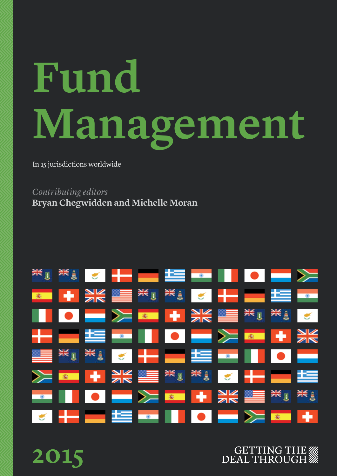# **Fund Management**

In 15 jurisdictions worldwide

*Contributing editors* **Bryan Chegwidden and Michelle Moran**



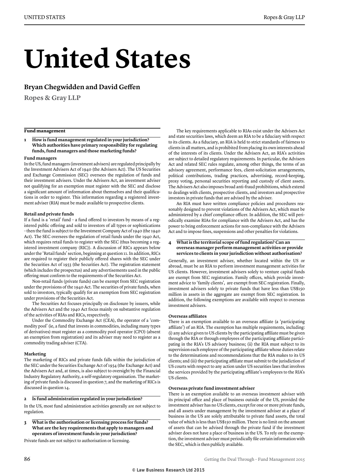### **United States**

#### **Bryan Chegwidden and David Geffen**

**Ropes & Gray LLP**

#### **Fund management**

**1 How is fund management regulated in your jurisdiction? Which authorities have primary responsibility for regulating funds, fund managers and those marketing funds?**

#### **Fund managers**

In the US, fund managers (investment advisers) are regulated principally by the Investment Advisers Act of 1940 (the Advisers Act). The US Securities and Exchange Commission (SEC) oversees the regulation of funds and their investment advisers. Under the Advisers Act, an investment adviser not qualifying for an exemption must register with the SEC and disclose a significant amount of information about themselves and their qualifications in order to register. This information regarding a registered investment adviser (RIA) must be made available to prospective clients.

#### **Retail and private funds**

If a fund is a 'retail' fund – a fund offered to investors by means of a registered public offering and sold to investors of all types or sophistications – then the fund is subject to the Investment Company Act of 1940 (the 1940 Act). The SEC oversees the regulation of retail funds under the 1940 Act, which requires retail funds to register with the SEC (thus becoming a registered investment company (RIC)). A discussion of RICs appears below under the 'Retail funds' section, beginning at question 11. In addition, RICs are required to register their publicly offered shares with the SEC under the Securities Act of 1933 (the Securities Act). The registration statement (which includes the prospectus) and any advertisements used in the public offering must conform to the requirements of the Securities Act.

Non-retail funds (private funds) can be exempt from SEC registration under the provisions of the 1940 Act. The securities of private funds, when sold to investors, typically qualify for an exemption from SEC registration under provisions of the Securities Act.

The Securities Act focuses principally on disclosure by issuers, while the Advisers Act and the 1940 Act focus mainly on substantive regulation of the activities of RIAs and RICs, respectively.

Under the Commodity Exchange Act (CEA), the operator of a 'commodity pool' (ie, a fund that invests in commodities, including many types of derivatives) must register as a commodity pool operator (CPO) (absent an exemption from registration) and its adviser may need to register as a commodity trading adviser (CTA).

#### **Marketing**

The marketing of RICs and private funds falls within the jurisdiction of the SEC under the Securities Exchange Act of 1934 (the Exchange Act) and the Advisers Act and, at times, is also subject to oversight by the Financial Industry Regulatory Authority, a self-regulatory organisation. The marketing of private funds is discussed in question 7, and the marketing of RICs is discussed in question 14.

#### **2 Is fund administration regulated in your jurisdiction?**

In the US, most fund administration activities generally are not subject to regulation.

**3 What is the authorisation or licensing process for funds? What are the key requirements that apply to managers and operators of investment funds in your jurisdiction?**

Private funds are not subject to authorisation or licensing.

The key requirements applicable to RIAs exist under the Advisers Act and state securities laws, which deem an RIA to be a fiduciary with respect to its clients. As a fiduciary, an RIA is held to strict standards of fairness to clients in all matters, and is prohibited from placing its own interests ahead of the interests of its clients. Under the Advisers Act, an RIA's activities are subject to detailed regulatory requirements. In particular, the Advisers Act and related SEC rules regulate, among other things, the terms of an advisory agreement, performance fees, client-solicitation arrangements, political contributions, trading practices, advertising, record-keeping, proxy voting, personal securities reporting and custody of client assets. The Advisers Act also imposes broad anti-fraud prohibitions, which extend to dealings with clients, prospective clients, and investors and prospective investors in private funds that are advised by the adviser.

An RIA must have written compliance policies and procedures reasonably designed to prevent violations of the Advisers Act, which must be administered by a chief compliance officer. In addition, the SEC will periodically examine RIAs for compliance with the Advisers Act, and has the power to bring enforcement actions for non-compliance with the Advisers Act and to impose fines, suspensions and other penalties for violations.

#### **4 What is the territorial scope of fund regulation? Can an overseas manager perform management activities or provide services to clients in your jurisdiction without authorisation?**

Generally, an investment adviser, whether located within the US or abroad, must be an RIA to perform investment management activities for US clients. However, investment advisers solely to venture capital funds are exempt from SEC registration. Family offices, which provide investment advice to 'family clients', are exempt from SEC registration. Finally, investment advisers solely to private funds that have less than US\$150 million in assets in the aggregate are exempt from SEC registration. In addition, the following exemptions are available with respect to overseas investment advisers.

#### **Overseas affiliates**

There is an exemption available to an overseas affiliate (a 'participating affiliate') of an RIA. The exemption has multiple requirements, including: (i) any advice given to US clients by the participating affiliate must be given through the RIA or through employees of the participating affiliate participating in the RIA's US advisory business; (ii) the RIA must subject to its supervision each employee of the participating affiliate whose duties relate to the determinations and recommendations that the RIA makes to its US clients; and (iii) the participating affiliate must submit to the jurisdiction of US courts with respect to any action under US securities laws that involves the services provided by the participating affiliate's employees to the RIA's US clients.

#### **Overseas private fund investment adviser**

There is an exemption available to an overseas investment adviser with its principal office and place of business outside of the US, provided the investment adviser has no US clients, except for one or more private funds, and all assets under management by the investment adviser at a place of business in the US are solely attributable to private fund assets, the total value of which is less than US\$150 million. There is no limit on the amount of assets that can be advised through the private fund if the investment adviser does not have a place of business in the US. To rely on the exemption, the investment adviser must periodically file certain information with the SEC, which is then publicly available.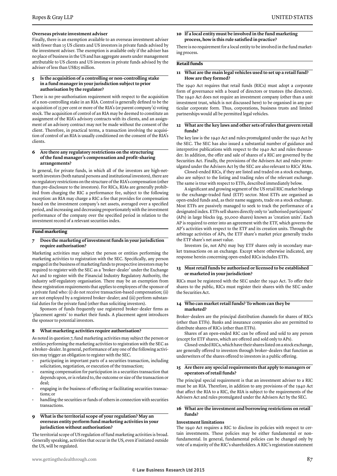#### **Overseas private investment adviser**

Finally, there is an exemption available to an overseas investment adviser with fewer than 15 US clients and US investors in private funds advised by the investment adviser. The exemption is available only if the adviser has no place of business in the US and has aggregate assets under management attributable to US clients and US investors in private funds advised by the adviser of less than US\$25 million.

#### **5 Is the acquisition of a controlling or non-controlling stake in a fund manager in your jurisdiction subject to prior authorisation by the regulator?**

There is no pre-authorisation requirement with respect to the acquisition of a non-controlling stake in an RIA. Control is generally defined to be the acquisition of 25 per cent or more of the RIA's (or parent company's) voting stock. The acquisition of control of an RIA may be deemed to constitute an assignment of the RIA's advisory contracts with its clients, and an assignment of an advisory contract may not be made without the consent of the client. Therefore, in practical terms, a transaction involving the acquisition of control of an RIA is usually conditioned on the consent of the RIA's clients.

#### **6 Are there any regulatory restrictions on the structuring of the fund manager's compensation and profit-sharing arrangements?**

In general, for private funds, in which all of the investors are high-networth investors (both natural persons and institutional investors), there are no regulatory restrictions on the structure of the RIA's compensation (other than pre-disclosure to the investors). For RICs, RIAs are generally prohibited from charging the RIC a performance fee, subject to the following exception: an RIA may charge a RIC a fee that provides for compensation based on the investment company's net assets, averaged over a specified period, and increasing and decreasing proportionately with the investment performance of the company over the specified period in relation to the investment record of a relevant securities index.

#### **Fund marketing**

#### **7 Does the marketing of investment funds in your jurisdiction require authorisation?**

Marketing activities may subject the person or entities performing the marketing activities to registration with the SEC. Specifically, any person engaged in the business of marketing funds to prospective investors may be required to register with the SEC as a 'broker–dealer' under the Exchange Act and to register with the Financial Industry Regulatory Authority, the industry self-regulatory organisation. There may be an exemption from these registration requirements that applies to employees of the sponsor of a private fund who: (i) do not receive transaction-based compensation; (ii) are not employed by a registered broker–dealer; and (iii) perform substantial duties for the private fund (other than soliciting investors).

Sponsors of funds frequently use registered broker–dealer firms as 'placement agents' to market their funds. A placement agent introduces the sponsor to potential investors.

#### **8 What marketing activities require authorisation?**

As noted in question 7, fund marketing activities may subject the person or entities performing the marketing activities to registration with the SEC as a broker–dealer. In general, performance of any one of the following activities may trigger an obligation to register with the SEC.

- participating in important parts of a securities transaction, including solicitation, negotiation, or execution of the transaction;
- earning compensation for participation in a securities transaction that depends upon, or is related to, the outcome or size of the transaction or deal;
- engaging in the business of effecting or facilitating securities transactions; or
- handling the securities or funds of others in connection with securities transactions.

#### **9 What is the territorial scope of your regulation? May an overseas entity perform fund marketing activities in your jurisdiction without authorisation?**

The territorial scope of US regulation of fund marketing activities is broad. Generally speaking, activities that occur in the US, even if initiated outside the US, will be regulated.

#### **10 If a local entity must be involved in the fund marketing process, how is this rule satisfied in practice?**

There is no requirement for a local entity to be involved in the fund marketing process.

#### **Retail funds**

#### **11 What are the main legal vehicles used to set up a retail fund? How are they formed?**

The 1940 Act requires that retail funds (RICs) must adopt a corporate form of governance with a board of directors or trustees (the directors). The 1940 Act does not require an investment company (other than a unit investment trust, which is not discussed here) to be organised in any particular corporate form. Thus, corporations, business trusts and limited partnerships would all be permitted legal vehicles.

#### **12 What are the key laws and other sets of rules that govern retail funds?**

The key law is the 1940 Act and rules promulgated under the 1940 Act by the SEC. The SEC has also issued a substantial number of guidance and interpretive publications with respect to the 1940 Act and rules thereunder. In addition, the offer and sale of shares of a RIC are governed by the Securities Act. Finally, the provisions of the Advisers Act and rules promulgated under the Advisers Act by the SEC are also relevant to RICs' RIAs.

Closed-ended RICs, if they are listed and traded on a stock exchange, also are subject to the listing and trading rules of the relevant exchange. The same is true with respect to ETFs, described immediately below.

A significant and growing segment of the US retail RIC market belongs to the exchange-traded fund (ETF) sector. Most ETFs are organised as open-ended funds and, as their name suggests, trade on a stock exchange. Most ETFs are passively managed to seek to track the performance of a designated index. ETFs sell shares directly only to 'authorised participants' (APs) in large blocks (eg, 50,000 shares) known as 'creation units'. Each AP is required to enter into an agreement with the ETF, which governs the AP's activities with respect to the ETF and its creation units. Through the arbitrage activities of APs, the ETF share's market price generally tracks the ETF share's net asset value.

Investors (ie, not APs) may buy ETF shares only in secondary market transactions on an exchange. Except where otherwise indicated, any response herein concerning open-ended RICs includes ETFs.

#### **13 Must retail funds be authorised or licensed to be established or marketed in your jurisdiction?**

RICs must be registered with the SEC under the 1940 Act. To offer their shares to the public, RICs must register their shares with the SEC under the Securities Act.

#### **14 Who can market retail funds? To whom can they be marketed?**

Broker–dealers are the principal distribution channels for shares of RICs (other than ETFs). Banks and insurance companies also are permitted to distribute shares of RICs (other than ETFs).

Shares of an open-ended RIC can be offered and sold to any person (except for ETF shares, which are offered and sold only to APs).

Closed-ended RICs, which have their shares listed on a stock exchange, are generally offered to investors through broker–dealers that function as underwriters of the shares offered to investors in a public offering.

#### **15 Are there any special requirements that apply to managers or operators of retail funds?**

The principal special requirement is that an investment adviser to a RIC must be an RIA. Therefore, in addition to any provisions of the 1940 Act that affect the RIA to a RIC, the RIA is subject to the requirements of the Advisers Act and rules promulgated under the Advisers Act by the SEC.

#### **16 What are the investment and borrowing restrictions on retail funds?**

#### **Investment limitations**

The 1940 Act requires a RIC to disclose its policies with respect to certain investments. These policies may be either fundamental or nonfundamental. In general, fundamental policies can be changed only by vote of a majority of the RIC's shareholders. A RIC's registration statement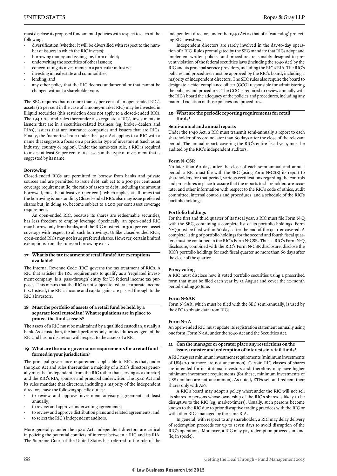must disclose its proposed fundamental policies with respect to each of the following:

- diversification (whether it will be diversified with respect to the number of issuers in which the RIC invests);
- borrowing money and issuing any form of debt;
- underwriting the securities of other issuers;
- concentrating its investments in a particular industry;
- investing in real estate and commodities;
- lending; and
- any other policy that the RIC deems fundamental or that cannot be changed without a shareholder vote.

The SEC requires that no more than 15 per cent of an open-ended RIC's assets (10 per cent in the case of a money-market RIC) may be invested in illiquid securities (this restriction does not apply to a closed-ended RIC). The 1940 Act and rules thereunder also regulate a RIC's investments in issuers that are in a securities-related business (eg, broker–dealers and RIAs), issuers that are insurance companies and issuers that are RICs. Finally, the 'name-test' rule under the 1940 Act applies to a RIC with a name that suggests a focus on a particular type of investment (such as an industry, country or region). Under the name-test rule, a RIC is required to invest at least 80 per cent of its assets in the type of investment that is suggested by its name.

#### **Borrowing**

Closed-ended RICs are permitted to borrow from banks and private sources and are permitted to issue debt, subject to a 300 per cent asset coverage requirement (ie, the ratio of assets to debt, including the amount borrowed, must be at least 300 per cent), which applies at all times that the borrowing is outstanding. Closed-ended RICs also may issue preferred shares but, in doing so, become subject to a 200 per cent asset coverage requirement.

An open-ended RIC, because its shares are redeemable securities, has less freedom to employ leverage. Specifically, an open-ended RIC may borrow only from banks, and the RIC must retain 300 per cent asset coverage with respect to all such borrowings. Unlike closed-ended RICs, open-ended RICs may not issue preferred shares. However, certain limited exemptions from the rules on borrowing exist.

#### **17 What is the tax treatment of retail funds? Are exemptions available?**

The Internal Revenue Code (IRC) governs the tax treatment of RICs. A RIC that satisfies the IRC requirements to qualify as a 'regulated investment company' is a 'pass-through' entity for US federal income tax purposes. This means that the RIC is not subject to federal corporate income tax. Instead, the RIC's income and capital gains are passed through to the RIC's investors.

#### **18 Must the portfolio of assets of a retail fund be held by a separate local custodian? What regulations are in place to protect the fund's assets?**

The assets of a RIC must be maintained by a qualified custodian, usually a bank. As a custodian, the bank performs only limited duties as agent of the RIC and has no discretion with respect to the assets of a RIC.

#### **19 What are the main governance requirements for a retail fund formed in your jurisdiction?**

The principal governance requirement applicable to RICs is that, under the 1940 Act and rules thereunder, a majority of a RIC's directors generally must be 'independent' from the RIC (other than serving as a director) and the RIC's RIA, sponsor and principal underwriter. The 1940 Act and its rules mandate that directors, including a majority of the independent directors, have the following specific duties:

- to review and approve investment advisory agreements at least annually;
- to review and approve underwriting agreements;
- to review and approve distribution plans and related agreements; and
- to select the RIC's independent auditors.

More generally, under the 1940 Act, independent directors are critical in policing the potential conflicts of interest between a RIC and its RIA. The Supreme Court of the United States has referred to the role of the independent directors under the 1940 Act as that of a 'watchdog' protecting RIC investors.

Independent directors are rarely involved in the day-to-day operation of a RIC. Rules promulgated by the SEC mandate that RICs adopt and implement written policies and procedures reasonably designed to prevent violation of the federal securities laws (including the 1940 Act) by the RIC and its principal service providers, including the RIC's RIA. The RIC's policies and procedures must be approved by the RIC's board, including a majority of independent directors. The SEC rules also require the board to designate a chief compliance officer (CCO) responsible for administering the policies and procedures. The CCO is required to review annually with the RIC's board the adequacy of the policies and procedures, including any material violation of those policies and procedures.

#### **20 What are the periodic reporting requirements for retail funds?**

#### **Semi-annual and annual reports**

Under the 1940 Act, a RIC must transmit semi-annually a report to each shareholder of record no later than 60 days after the close of the relevant period. The annual report, covering the RIC's entire fiscal year, must be audited by the RIC's independent auditors.

#### **Form N-CSR**

No later than 60 days after the close of each semi-annual and annual period, a RIC must file with the SEC (using Form N-CSR) its report to shareholders for that period, various certifications regarding the controls and procedures in place to assure that the reports to shareholders are accurate, and other information with respect to the RIC's code of ethics, audit committee, internal controls and procedures, and a schedule of the RIC's portfolio holdings.

#### **Portfolio holdings**

For the first and third quarter of its fiscal year, a RIC must file Form N-Q with the SEC, containing a complete list of its portfolio holdings. Form N-Q must be filed within 60 days after the end of the quarter covered. A complete listing of portfolio holdings for the second and fourth fiscal quarters must be contained in the RIC's Form N-CSR. Thus, a RIC's Form N-Q disclosure, combined with the RIC's Form N-CSR disclosure, disclose the RIC's portfolio holdings for each fiscal quarter no more than 60 days after the close of the quarter.

#### **Proxy voting**

A RIC must disclose how it voted portfolio securities using a prescribed form that must be filed each year by 31 August and cover the 12-month period ending 30 June.

#### **Form N-SAR**

Form N-SAR, which must be filed with the SEC semi-annually, is used by the SEC to obtain data from RICs.

#### **Form N-1A**

An open-ended RIC must update its registration statement annually using one form, Form N-1A, under the 1940 Act and the Securities Act.

#### **21 Can the manager or operator place any restrictions on the issue, transfer and redemption of interests in retail funds?**

A RIC may set minimum investment requirements (minimum investments of US\$500 or more are not uncommon). Certain RIC classes of shares are intended for institutional investors and, therefore, may have higher minimum investment requirements (for these, minimum investments of US\$1 million are not uncommon). As noted, ETFs sell and redeem their shares only with APs.

A RIC's board may adopt a policy whereunder the RIC will not sell its shares to persons whose ownership of the RIC's shares is likely to be disruptive to the RIC (eg, market-timers). Usually, such persons become known to the RIC due to prior disruptive trading practices with the RIC or with other RICs managed by the same RIA.

In general, with respect to any shareholder, a RIC may delay delivery of redemption proceeds for up to seven days to avoid disruption of the RIC's operations. Moreover, a RIC may pay redemption proceeds in kind (ie, in specie).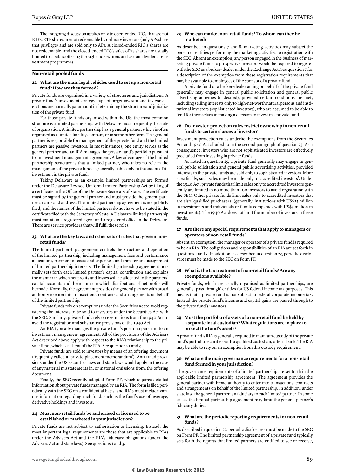The foregoing discussion applies only to open-ended RICs that are not ETFs. ETF shares are not redeemable by ordinary investors (only APs share that privilege) and are sold only to APs. A closed-ended RIC's shares are not redeemable, and the closed-ended RIC's sales of its shares are usually limited to a public offering through underwriters and certain dividend reinvestment programmes.

#### **Non-retail pooled funds**

#### **22 What are the main legal vehicles used to set up a non-retail fund? How are they formed?**

Private funds are organised in a variety of structures and jurisdictions. A private fund's investment strategy, type of target investor and tax considerations are normally paramount in determining the structure and jurisdiction of the private fund.

For those private funds organised within the US, the most common structure is a limited partnership, with Delaware most frequently the state of organisation. A limited partnership has a general partner, which is often organised as a limited liability company or in some other form. The general partner is responsible for management of the private fund and the limited partners are passive investors. In most instances, one entity serves as the general partner and an RIA manages the private fund's portfolio pursuant to an investment management agreement. A key advantage of the limited partnership structure is that a limited partner, who takes no role in the management of the private fund, is generally liable only to the extent of its investment in the private fund.

Taking Delaware as an example, limited partnerships are formed under the Delaware Revised Uniform Limited Partnership Act by filing of a certificate in the Office of the Delaware Secretary of State. The certificate must be signed by the general partner and must provide the general partner's name and address. The limited partnership agreement is not publicly filed, and the names of the limited partners do not have to be stated in the certificate filed with the Secretary of State. A Delaware limited partnership must maintain a registered agent and a registered office in the Delaware. There are service providers that will fulfil these roles.

#### **23 What are the key laws and other sets of rules that govern nonretail funds?**

The limited partnership agreement controls the structure and operation of the limited partnership, including management fees and performance allocations, payment of costs and expenses, and transfer and assignment of limited partnership interests. The limited partnership agreement normally sets forth each limited partner's capital contribution and explains the manner in which net profits and losses will be allocated to the partners' capital accounts and the manner in which distributions of net profits will be made. Normally, the agreement provides the general partner with broad authority to enter into transactions, contracts and arrangements on behalf of the limited partnership.

Private funds rely on exemptions under the Securities Act to avoid registering the interests to be sold to investors under the Securities Act with the SEC. Similarly, private funds rely on exemptions from the 1940 Act to avoid the registration and substantive provisions of the 1940 Act.

An RIA typically manages the private fund's portfolio pursuant to an investment management agreement. All of the provisions of the Advisers Act described above apply with respect to the RIA's relationship to the private fund, which is a client of the RIA. See questions 1 and 3.

Private funds are sold to investors by means of an offering document (frequently called a 'private-placement memorandum'). Anti-fraud provisions under the US securities laws and state laws would apply in the case of any material misstatements in, or material omissions from, the offering document.

Finally, the SEC recently adopted Form PF, which requires detailed information about private funds managed by an RIA. The form is filed periodically with the SEC on a confidential basis, and RIAs must include various information regarding each fund, such as the fund's use of leverage, derivative holdings and investors.

#### **24 Must non-retail funds be authorised or licensed to be established or marketed in your jurisdiction?**

Private funds are not subject to authorisation or licensing. Instead, the most important legal requirements are those that are applicable to RIAs under the Advisers Act and the RIA's fiduciary obligations (under the Advisers Act and state laws). See questions 1 and 3.

#### **25 Who can market non-retail funds? To whom can they be marketed?**

As described in questions 7 and 8, marketing activities may subject the person or entities performing the marketing activities to registration with the SEC. Absent an exemption, any person engaged in the business of marketing private funds to prospective investors would be required to register with the SEC as a broker–dealer under the Exchange Act. See question 7 for a description of the exemption from these registration requirements that may be available to employees of the sponsor of a private fund.

A private fund or a broker–dealer acting on behalf of the private fund generally may engage in general public solicitation and general public advertising activities (if desired), provided certain conditions are met, including selling interests only to high-net-worth natural persons and institutional investors (sophisticated investors), who are assumed to be able to fend for themselves in making a decision to invest in a private fund.

#### **26 Do investor-protection rules restrict ownership in non-retail funds to certain classes of investor?**

Investment protection rules underlie the exemptions from the Securities Act and 1940 Act alluded to in the second paragraph of question 25. As a consequence, investors who are not sophisticated investors are effectively precluded from investing in private funds.

As noted in question 25, a private fund generally may engage in general public solicitation and general public advertising activities, provided interests in the private funds are sold only to sophisticated investors. More specifically, such sales may be made only to 'accredited investors'. Under the 1940 Act, private funds that limit sales only to accredited investors generally are limited to no more than 100 investors to avoid registration with the SEC. Other private funds limit sales only to accredited investors that are also 'qualified purchasers' (generally, institutions with US\$25 million in investments and individuals or family companies with US\$5 million in investments). The 1940 Act does not limit the number of investors in these funds.

#### **27 Are there any special requirements that apply to managers or operators of non-retail funds?**

Absent an exemption, the manager or operator of a private fund is required to be an RIA. The obligations and responsibilities of an RIA are set forth in questions 1 and 3. In addition, as described in question 23, periodic disclosures must be made to the SEC on Form PF.

#### **28 What is the tax treatment of non-retail funds? Are any exemptions available?**

Private funds, which are usually organised as limited partnerships, are generally 'pass-through' entities for US federal income tax purposes. This means that a private fund is not subject to federal corporate income tax. Instead the private fund's income and capital gains are passed through to the private fund's investors.

#### **29 Must the portfolio of assets of a non-retail fund be held by a separate local custodian? What regulations are in place to protect the fund's assets?**

A private fund's RIA is generally required to maintain custody of the private fund's portfolio securities with a qualified custodian, often a bank. The RIA may be able to rely on an exemption from this custody requirement.

#### **30 What are the main governance requirements for a non-retail fund formed in your jurisdiction?**

The governance requirements of a limited partnership are set forth in the applicable limited partnership agreement. The agreement provides the general partner with broad authority to enter into transactions, contracts and arrangements on behalf of the limited partnership. In addition, under state law, the general partner is a fiduciary to each limited partner. In some cases, the limited partnership agreement may limit the general partner's fiduciary duties.

#### **31 What are the periodic reporting requirements for non-retail funds?**

As described in question 23, periodic disclosures must be made to the SEC on Form PF. The limited partnership agreement of a private fund typically sets forth the reports that limited partners are entitled to see or receive,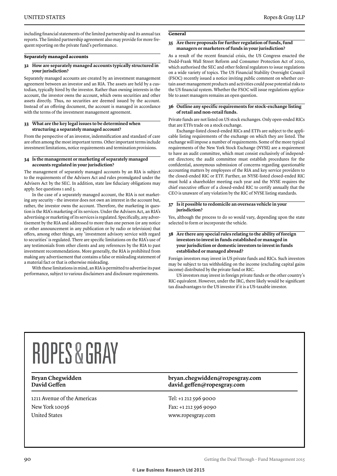including financial statements of the limited partnership and its annual tax reports. The limited partnership agreement also may provide for more frequent reporting on the private fund's performance.

#### **Separately managed accounts**

#### **32 How are separately managed accounts typically structured in your jurisdiction?**

Separately managed accounts are created by an investment management agreement between an investor and an RIA. The assets are held by a custodian, typically hired by the investor. Rather than owning interests in the account, the investor owns the account, which owns securities and other assets directly. Thus, no securities are deemed issued by the account. Instead of an offering document, the account is managed in accordance with the terms of the investment management agreement.

#### **33 What are the key legal issues to be determined when structuring a separately managed account?**

From the perspective of an investor, indemnification and standard of care are often among the most important terms. Other important terms include investment limitations, notice requirements and termination provisions.

#### **34 Is the management or marketing of separately managed accounts regulated in your jurisdiction?**

The management of separately managed accounts by an RIA is subject to the requirements of the Advisers Act and rules promulgated under the Advisers Act by the SEC. In addition, state law fiduciary obligations may apply. See questions 1 and 3.

In the case of a separately managed account, the RIA is not marketing any security – the investor does not own an interest in the account but, rather, the investor owns the account. Therefore, the marketing in question is the RIA's marketing of its services. Under the Advisers Act, an RIA's advertising or marketing of its services is regulated. Specifically, any advertisement by the RIA and addressed to more than one person (or any notice or other announcement in any publication or by radio or television) that offers, among other things, any 'investment advisory service with regard to securities' is regulated. There are specific limitations on the RIA's use of any testimonials from other clients and any references by the RIA to past investment recommendations. More generally, the RIA is prohibited from making any advertisement that contains a false or misleading statement of a material fact or that is otherwise misleading.

With these limitations in mind, an RIA is permitted to advertise its past performance, subject to various disclaimers and disclosure requirements.

#### **General**

#### **35 Are there proposals for further regulation of funds, fund managers or marketers of funds in your jurisdiction?**

As a result of the recent financial crisis, the US Congress enacted the Dodd-Frank Wall Street Reform and Consumer Protection Act of 2010, which authorised the SEC and other federal regulators to issue regulations on a wide variety of topics. The US Financial Stability Oversight Council (FSOC) recently issued a notice inviting public comment on whether certain asset management products and activities could pose potential risks to the US financial system. Whether the FSOC will issue regulations applicable to asset managers remains an open question.

#### **36 Outline any specific requirements for stock-exchange listing of retail and non-retail funds.**

Private funds are not listed on US stock exchanges. Only open-ended RICs that are ETFs trade on a stock exchange.

Exchange-listed closed-ended RICs and ETFs are subject to the applicable listing requirements of the exchange on which they are listed. The exchange will impose a number of requirements. Some of the more typical requirements of the New York Stock Exchange (NYSE) are a requirement to have an audit committee, which must consist exclusively of independent directors; the audit committee must establish procedures for the confidential, anonymous submission of concerns regarding questionable accounting matters by employees of the RIA and key service providers to the closed-ended RIC or ETF. Further, an NYSE-listed closed-ended RIC must hold a shareholder meeting each year and the NYSE requires the chief executive officer of a closed-ended RIC to certify annually that the CEO is unaware of any violation by the RIC of NYSE listing standards.

#### **37 Is it possible to redomicile an overseas vehicle in your jurisdiction?**

Yes, although the process to do so would vary, depending upon the state selected to form or incorporate the vehicle.

#### **38 Are there any special rules relating to the ability of foreign investors to invest in funds established or managed in your jurisdiction or domestic investors to invest in funds established or managed abroad?**

Foreign investors may invest in US private funds and RICs. Such investors may be subject to tax withholding on the income (excluding capital gains income) distributed by the private fund or RIC.

US investors may invest in foreign private funds or the other country's RIC equivalent. However, under the IRC, there likely would be significant tax disadvantages to the US investor if it is a US-taxable investor.

## **ROPES & GRAY**

1211 Avenue of the Americas New York 10036 United States

#### **Bryan Chegwidden bryan.chegwidden@ropesgray.com David Geffen david.geffen@ropesgray.com**

Tel: +1 212 596 9000 Fax: +1 212 596 9090 www.ropesgray.com